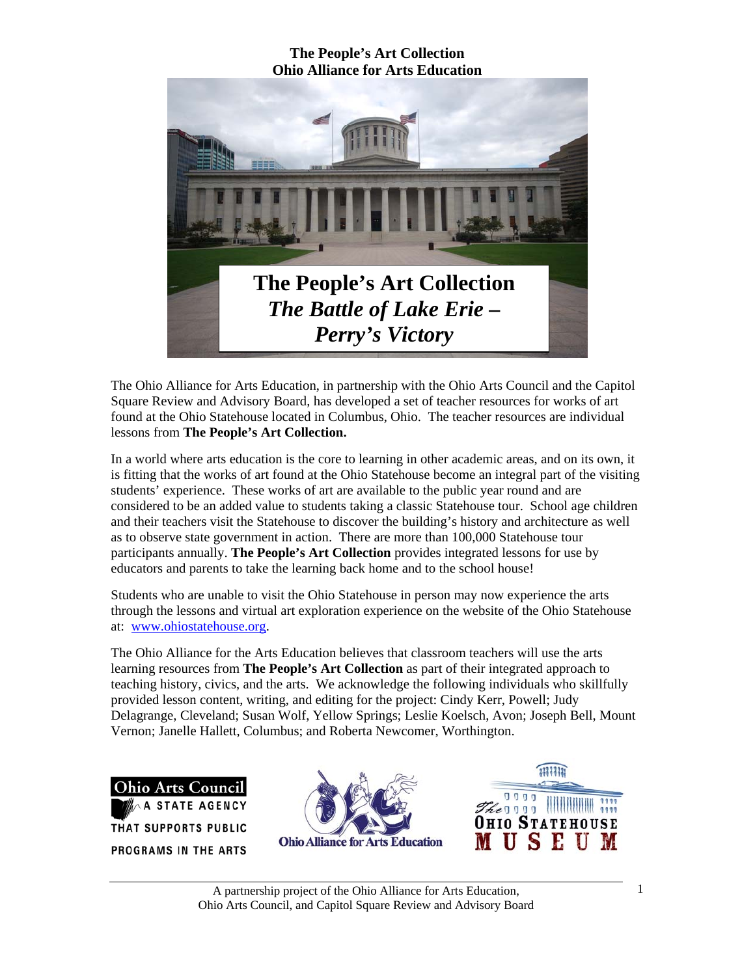

The Ohio Alliance for Arts Education, in partnership with the Ohio Arts Council and the Capitol Square Review and Advisory Board, has developed a set of teacher resources for works of art found at the Ohio Statehouse located in Columbus, Ohio. The teacher resources are individual lessons from **The People's Art Collection.** 

In a world where arts education is the core to learning in other academic areas, and on its own, it is fitting that the works of art found at the Ohio Statehouse become an integral part of the visiting students' experience. These works of art are available to the public year round and are considered to be an added value to students taking a classic Statehouse tour. School age children and their teachers visit the Statehouse to discover the building's history and architecture as well as to observe state government in action. There are more than 100,000 Statehouse tour participants annually. **The People's Art Collection** provides integrated lessons for use by educators and parents to take the learning back home and to the school house!

Students who are unable to visit the Ohio Statehouse in person may now experience the arts through the lessons and virtual art exploration experience on the website of the Ohio Statehouse at: www.ohiostatehouse.org.

The Ohio Alliance for the Arts Education believes that classroom teachers will use the arts learning resources from **The People's Art Collection** as part of their integrated approach to teaching history, civics, and the arts. We acknowledge the following individuals who skillfully provided lesson content, writing, and editing for the project: Cindy Kerr, Powell; Judy Delagrange, Cleveland; Susan Wolf, Yellow Springs; Leslie Koelsch, Avon; Joseph Bell, Mount Vernon; Janelle Hallett, Columbus; and Roberta Newcomer, Worthington.

**Ohio Arts Council ATE AGENCY** THAT SUPPORTS PUBLIC **PROGRAMS IN THE ARTS** 



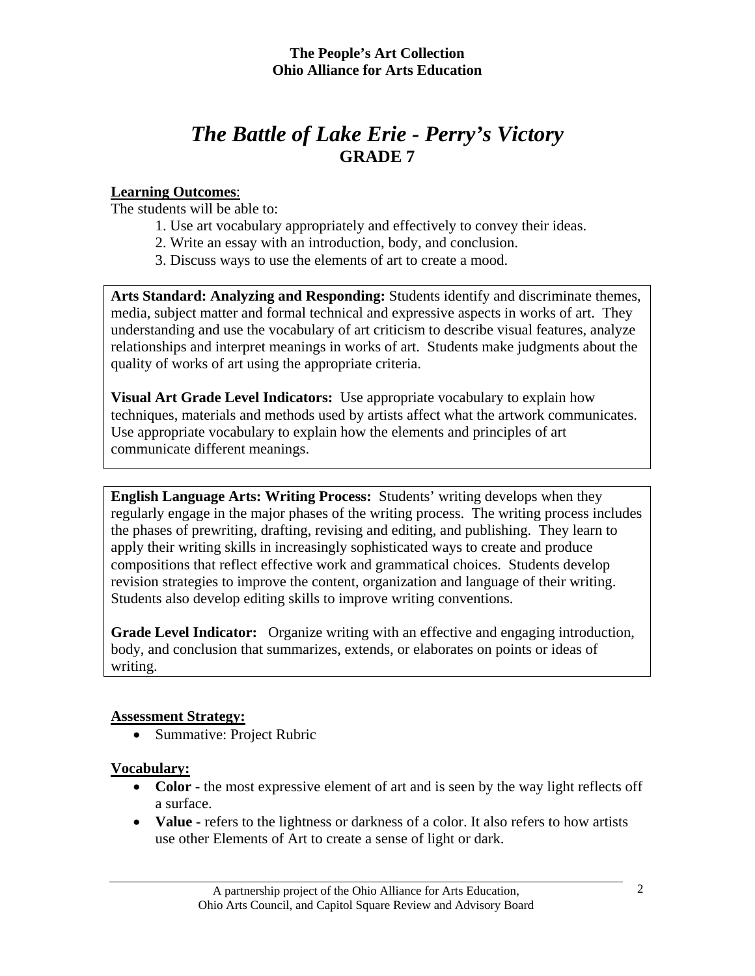# *The Battle of Lake Erie - Perry's Victory*  **GRADE 7**

# **Learning Outcomes**:

The students will be able to:

- 1. Use art vocabulary appropriately and effectively to convey their ideas.
- 2. Write an essay with an introduction, body, and conclusion.
- 3. Discuss ways to use the elements of art to create a mood.

**Arts Standard: Analyzing and Responding:** Students identify and discriminate themes, media, subject matter and formal technical and expressive aspects in works of art. They understanding and use the vocabulary of art criticism to describe visual features, analyze relationships and interpret meanings in works of art. Students make judgments about the quality of works of art using the appropriate criteria.

**Visual Art Grade Level Indicators:** Use appropriate vocabulary to explain how techniques, materials and methods used by artists affect what the artwork communicates. Use appropriate vocabulary to explain how the elements and principles of art communicate different meanings.

**English Language Arts: Writing Process:** Students' writing develops when they regularly engage in the major phases of the writing process. The writing process includes the phases of prewriting, drafting, revising and editing, and publishing. They learn to apply their writing skills in increasingly sophisticated ways to create and produce compositions that reflect effective work and grammatical choices. Students develop revision strategies to improve the content, organization and language of their writing. Students also develop editing skills to improve writing conventions.

**Grade Level Indicator:** Organize writing with an effective and engaging introduction, body, and conclusion that summarizes, extends, or elaborates on points or ideas of writing.

## **Assessment Strategy:**

• Summative: Project Rubric

# **Vocabulary:**

- **Color** the most expressive element of art and is seen by the way light reflects off a surface.
- **Value** refers to the lightness or darkness of a color. It also refers to how artists use other Elements of Art to create a sense of light or dark.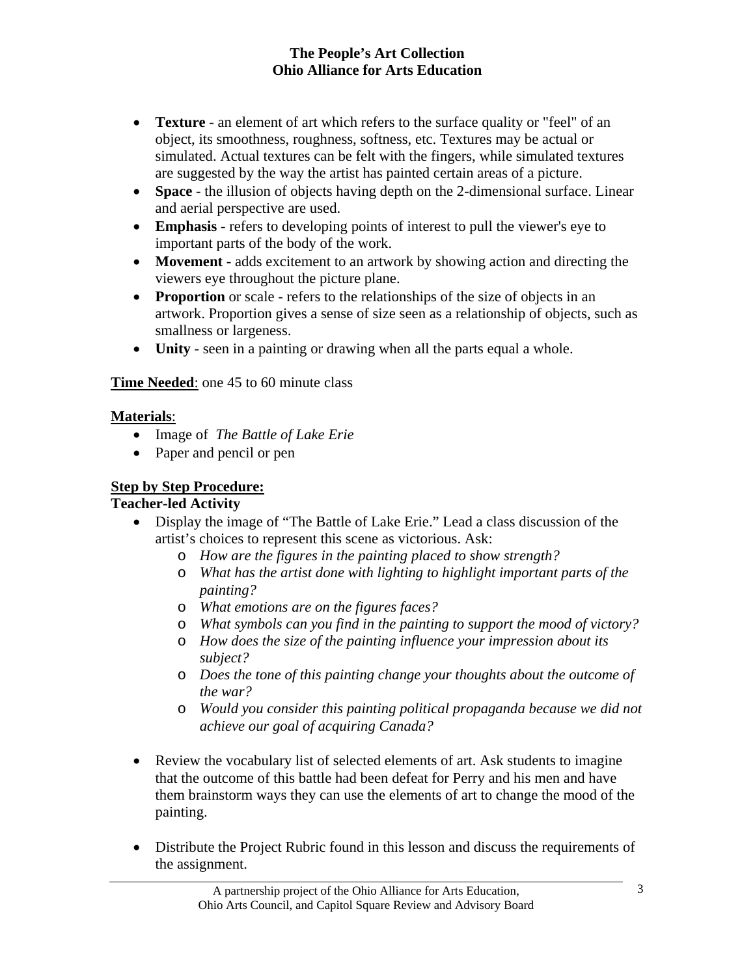- **Texture** an element of art which refers to the surface quality or "feel" of an object, its smoothness, roughness, softness, etc. Textures may be actual or simulated. Actual textures can be felt with the fingers, while simulated textures are suggested by the way the artist has painted certain areas of a picture.
- **Space** the illusion of objects having depth on the 2-dimensional surface. Linear and aerial perspective are used.
- **Emphasis** refers to developing points of interest to pull the viewer's eye to important parts of the body of the work.
- **Movement** adds excitement to an artwork by showing action and directing the viewers eye throughout the picture plane.
- **Proportion** or scale refers to the relationships of the size of objects in an artwork. Proportion gives a sense of size seen as a relationship of objects, such as smallness or largeness.
- **Unity** seen in a painting or drawing when all the parts equal a whole.

**Time Needed**: one 45 to 60 minute class

## **Materials**:

- Image of *The Battle of Lake Erie*
- Paper and pencil or pen

# **Step by Step Procedure:**

## **Teacher-led Activity**

- Display the image of "The Battle of Lake Erie." Lead a class discussion of the artist's choices to represent this scene as victorious. Ask:
	- o *How are the figures in the painting placed to show strength?*
	- o *What has the artist done with lighting to highlight important parts of the painting?*
	- o *What emotions are on the figures faces?*
	- o *What symbols can you find in the painting to support the mood of victory?*
	- o *How does the size of the painting influence your impression about its subject?*
	- o *Does the tone of this painting change your thoughts about the outcome of the war?*
	- o *Would you consider this painting political propaganda because we did not achieve our goal of acquiring Canada?*
- Review the vocabulary list of selected elements of art. Ask students to imagine that the outcome of this battle had been defeat for Perry and his men and have them brainstorm ways they can use the elements of art to change the mood of the painting.
- Distribute the Project Rubric found in this lesson and discuss the requirements of the assignment.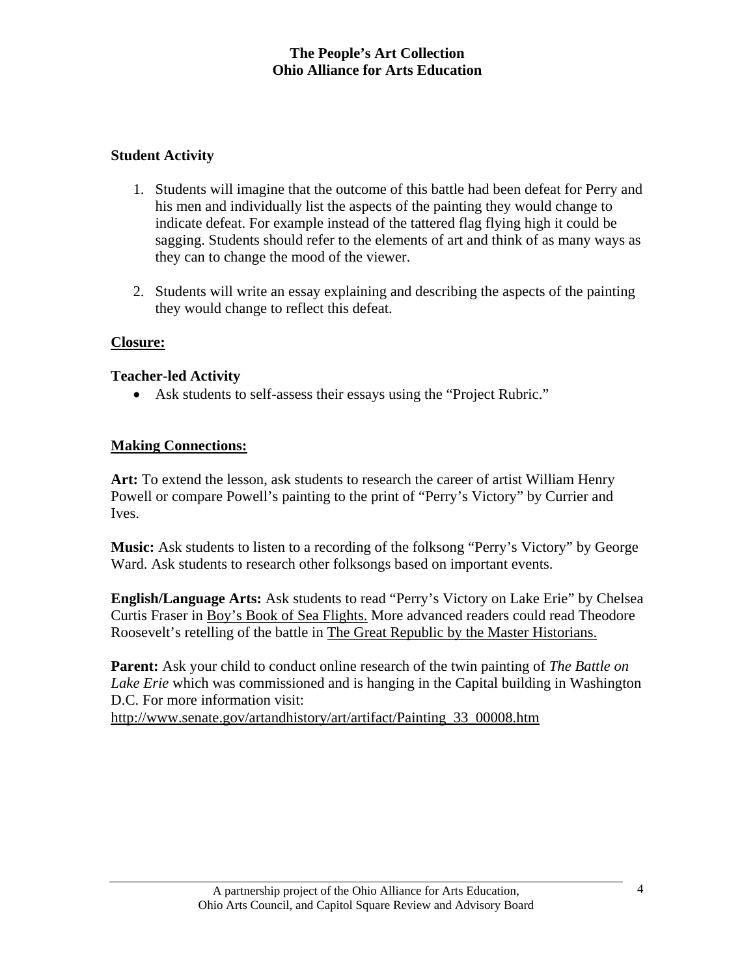# **Student Activity**

- 1. Students will imagine that the outcome of this battle had been defeat for Perry and his men and individually list the aspects of the painting they would change to indicate defeat. For example instead of the tattered flag flying high it could be sagging. Students should refer to the elements of art and think of as many ways as they can to change the mood of the viewer.
- 2. Students will write an essay explaining and describing the aspects of the painting they would change to reflect this defeat.

## **Closure:**

#### **Teacher-led Activity**

• Ask students to self-assess their essays using the "Project Rubric."

## **Making Connections:**

**Art:** To extend the lesson, ask students to research the career of artist William Henry Powell or compare Powell's painting to the print of "Perry's Victory" by Currier and Ives.

**Music:** Ask students to listen to a recording of the folksong "Perry's Victory" by George Ward. Ask students to research other folksongs based on important events.

**English/Language Arts:** Ask students to read "Perry's Victory on Lake Erie" by Chelsea Curtis Fraser in Boy's Book of Sea Flights. More advanced readers could read Theodore Roosevelt's retelling of the battle in The Great Republic by the Master Historians.

**Parent:** Ask your child to conduct online research of the twin painting of *The Battle on Lake Erie* which was commissioned and is hanging in the Capital building in Washington D.C. For more information visit:

http://www.senate.gov/artandhistory/art/artifact/Painting\_33\_00008.htm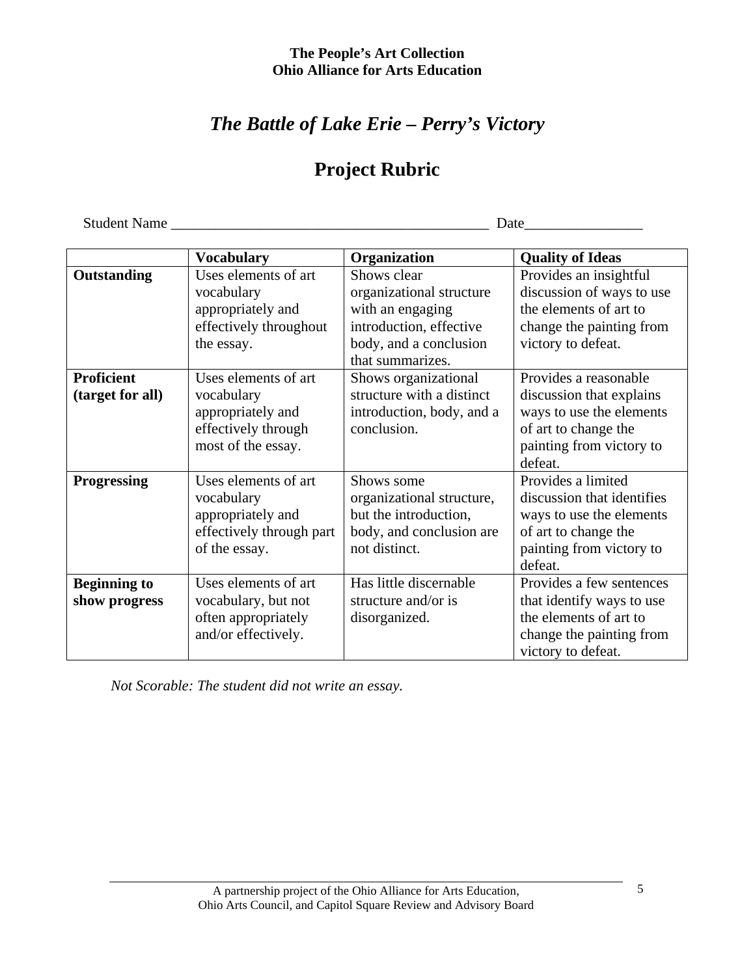# *The Battle of Lake Erie – Perry's Victory*

# **Project Rubric**

Student Name \_\_\_\_\_\_\_\_\_\_\_\_\_\_\_\_\_\_\_\_\_\_\_\_\_\_\_\_\_\_\_\_\_\_\_\_\_\_\_\_\_\_\_ Date\_\_\_\_\_\_\_\_\_\_\_\_\_\_\_\_

|                     | <b>Vocabulary</b>        | Organization              | <b>Quality of Ideas</b>    |
|---------------------|--------------------------|---------------------------|----------------------------|
| Outstanding         | Uses elements of art     | Shows clear               | Provides an insightful     |
|                     | vocabulary               | organizational structure  | discussion of ways to use  |
|                     | appropriately and        | with an engaging          | the elements of art to     |
|                     | effectively throughout   | introduction, effective   | change the painting from   |
|                     | the essay.               | body, and a conclusion    | victory to defeat.         |
|                     |                          | that summarizes.          |                            |
| <b>Proficient</b>   | Uses elements of art     | Shows organizational      | Provides a reasonable      |
| (target for all)    | vocabulary               | structure with a distinct | discussion that explains   |
|                     | appropriately and        | introduction, body, and a | ways to use the elements   |
|                     | effectively through      | conclusion.               | of art to change the       |
|                     | most of the essay.       |                           | painting from victory to   |
|                     |                          |                           | defeat.                    |
| <b>Progressing</b>  | Uses elements of art     | Shows some                | Provides a limited         |
|                     | vocabulary               | organizational structure, | discussion that identifies |
|                     | appropriately and        | but the introduction,     | ways to use the elements   |
|                     | effectively through part | body, and conclusion are  | of art to change the       |
|                     | of the essay.            | not distinct.             | painting from victory to   |
|                     |                          |                           | defeat.                    |
| <b>Beginning to</b> | Uses elements of art     | Has little discernable    | Provides a few sentences   |
| show progress       | vocabulary, but not      | structure and/or is       | that identify ways to use  |
|                     | often appropriately      | disorganized.             | the elements of art to     |
|                     | and/or effectively.      |                           | change the painting from   |
|                     |                          |                           | victory to defeat.         |

*Not Scorable: The student did not write an essay.*